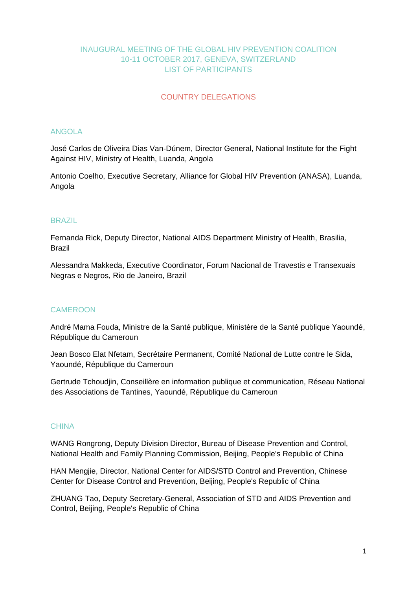# INAUGURAL MEETING OF THE GLOBAL HIV PREVENTION COALITION 10-11 OCTOBER 2017, GENEVA, SWITZERLAND LIST OF PARTICIPANTS

# COUNTRY DELEGATIONS

## ANGOLA

José Carlos de Oliveira Dias Van-Dúnem, Director General, National Institute for the Fight Against HIV, Ministry of Health, Luanda, Angola

Antonio Coelho, Executive Secretary, Alliance for Global HIV Prevention (ANASA), Luanda, Angola

# BRAZIL

Fernanda Rick, Deputy Director, National AIDS Department Ministry of Health, Brasilia, Brazil

Alessandra Makkeda, Executive Coordinator, Forum Nacional de Travestis e Transexuais Negras e Negros, Rio de Janeiro, Brazil

## **CAMEROON**

André Mama Fouda, Ministre de la Santé publique, Ministère de la Santé publique Yaoundé, République du Cameroun

Jean Bosco Elat Nfetam, Secrétaire Permanent, Comité National de Lutte contre le Sida, Yaoundé, République du Cameroun

Gertrude Tchoudjin, Conseillère en information publique et communication, Réseau National des Associations de Tantines, Yaoundé, République du Cameroun

## **CHINA**

WANG Rongrong, Deputy Division Director, Bureau of Disease Prevention and Control, National Health and Family Planning Commission, Beijing, People's Republic of China

HAN Mengjie, Director, National Center for AIDS/STD Control and Prevention, Chinese Center for Disease Control and Prevention, Beijing, People's Republic of China

ZHUANG Tao, Deputy Secretary-General, Association of STD and AIDS Prevention and Control, Beijing, People's Republic of China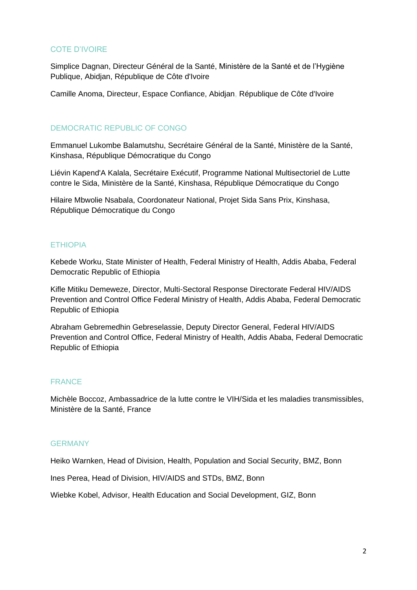# COTE D'IVOIRE

Simplice Dagnan, Directeur Général de la Santé, Ministère de la Santé et de l'Hygiène Publique, Abidjan, République de Côte d'Ivoire

Camille Anoma, Directeur, Espace Confiance, Abidjan, République de Côte d'Ivoire

# DEMOCRATIC REPUBLIC OF CONGO

Emmanuel Lukombe Balamutshu, Secrétaire Général de la Santé, Ministère de la Santé, Kinshasa, République Démocratique du Congo

Liévin Kapend'A Kalala, Secrétaire Exécutif, Programme National Multisectoriel de Lutte contre le Sida, Ministère de la Santé, Kinshasa, République Démocratique du Congo

Hilaire Mbwolie Nsabala, Coordonateur National, Projet Sida Sans Prix, Kinshasa, République Démocratique du Congo

## **ETHIOPIA**

Kebede Worku, State Minister of Health, Federal Ministry of Health, Addis Ababa, Federal Democratic Republic of Ethiopia

Kifle Mitiku Demeweze, Director, Multi-Sectoral Response Directorate Federal HIV/AIDS Prevention and Control Office Federal Ministry of Health, Addis Ababa, Federal Democratic Republic of Ethiopia

Abraham Gebremedhin Gebreselassie, Deputy Director General, Federal HIV/AIDS Prevention and Control Office, Federal Ministry of Health, Addis Ababa, Federal Democratic Republic of Ethiopia

## FRANCE

Michèle Boccoz, Ambassadrice de la lutte contre le VIH/Sida et les maladies transmissibles, Ministère de la Santé, France

#### **GERMANY**

Heiko Warnken, Head of Division, Health, Population and Social Security, BMZ, Bonn

Ines Perea, Head of Division, HIV/AIDS and STDs, BMZ, Bonn

Wiebke Kobel, Advisor, Health Education and Social Development, GIZ, Bonn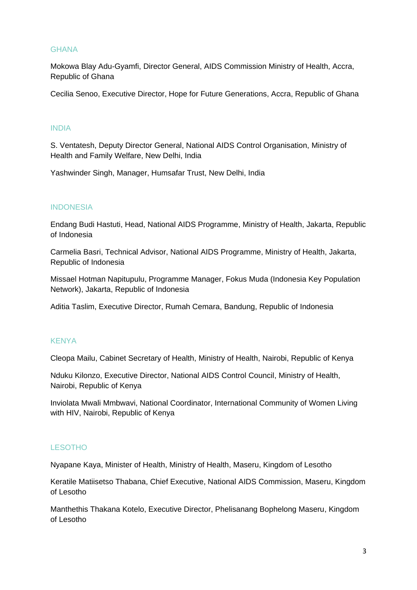## **GHANA**

Mokowa Blay Adu-Gyamfi, Director General, AIDS Commission Ministry of Health, Accra, Republic of Ghana

Cecilia Senoo, Executive Director, Hope for Future Generations, Accra, Republic of Ghana

#### INDIA

S. Ventatesh, Deputy Director General, National AIDS Control Organisation, Ministry of Health and Family Welfare, New Delhi, India

Yashwinder Singh, Manager, Humsafar Trust, New Delhi, India

#### **INDONESIA**

Endang Budi Hastuti, Head, National AIDS Programme, Ministry of Health, Jakarta, Republic of Indonesia

Carmelia Basri, Technical Advisor, National AIDS Programme, Ministry of Health, Jakarta, Republic of Indonesia

Missael Hotman Napitupulu, Programme Manager, Fokus Muda (Indonesia Key Population Network), Jakarta, Republic of Indonesia

Aditia Taslim, Executive Director, Rumah Cemara, Bandung, Republic of Indonesia

# **KENYA**

Cleopa Mailu, Cabinet Secretary of Health, Ministry of Health, Nairobi, Republic of Kenya

Nduku Kilonzo, Executive Director, National AIDS Control Council, Ministry of Health, Nairobi, Republic of Kenya

Inviolata Mwali Mmbwavi, National Coordinator, International Community of Women Living with HIV, Nairobi, Republic of Kenya

# LESOTHO

Nyapane Kaya, Minister of Health, Ministry of Health, Maseru, Kingdom of Lesotho

Keratile Matiisetso Thabana, Chief Executive, National AIDS Commission, Maseru, Kingdom of Lesotho

Manthethis Thakana Kotelo, Executive Director, Phelisanang Bophelong Maseru, Kingdom of Lesotho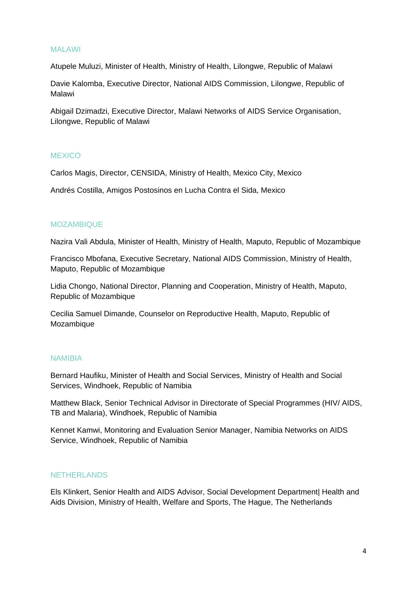## MALAWI

Atupele Muluzi, Minister of Health, Ministry of Health, Lilongwe, Republic of Malawi

Davie Kalomba, Executive Director, National AIDS Commission, Lilongwe, Republic of Malawi

Abigail Dzimadzi, Executive Director, Malawi Networks of AIDS Service Organisation, Lilongwe, Republic of Malawi

## **MEXICO**

Carlos Magis, Director, CENSIDA, Ministry of Health, Mexico City, Mexico

Andrés Costilla, Amigos Postosinos en Lucha Contra el Sida, Mexico

#### MOZAMBIQUE

Nazira Vali Abdula, Minister of Health, Ministry of Health, Maputo, Republic of Mozambique

Francisco Mbofana, Executive Secretary, National AIDS Commission, Ministry of Health, Maputo, Republic of Mozambique

Lidia Chongo, National Director, Planning and Cooperation, Ministry of Health, Maputo, Republic of Mozambique

Cecilia Samuel Dimande, Counselor on Reproductive Health, Maputo, Republic of Mozambique

#### NAMIBIA

Bernard Haufiku, Minister of Health and Social Services, Ministry of Health and Social Services, Windhoek, Republic of Namibia

Matthew Black, Senior Technical Advisor in Directorate of Special Programmes (HIV/ AIDS, TB and Malaria), Windhoek, Republic of Namibia

Kennet Kamwi, Monitoring and Evaluation Senior Manager, Namibia Networks on AIDS Service, Windhoek, Republic of Namibia

#### **NETHERLANDS**

Els Klinkert, Senior Health and AIDS Advisor, Social Development Department| Health and Aids Division, Ministry of Health, Welfare and Sports, The Hague, The Netherlands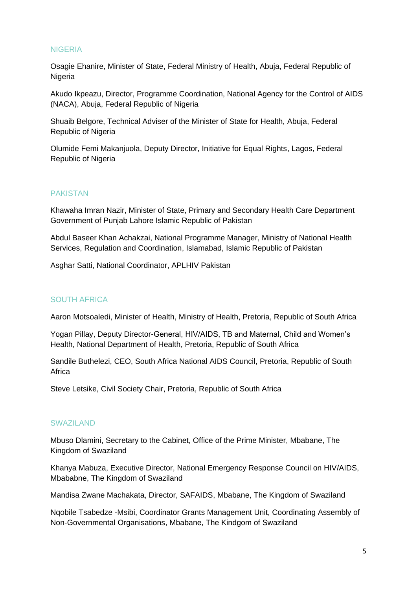## NIGERIA

Osagie Ehanire, Minister of State, Federal Ministry of Health, Abuja, Federal Republic of **Nigeria** 

Akudo Ikpeazu, Director, Programme Coordination, National Agency for the Control of AIDS (NACA), Abuja, Federal Republic of Nigeria

Shuaib Belgore, Technical Adviser of the Minister of State for Health, Abuja, Federal Republic of Nigeria

Olumide Femi Makanjuola, Deputy Director, Initiative for Equal Rights, Lagos, Federal Republic of Nigeria

#### PAKISTAN

Khawaha Imran Nazir, Minister of State, Primary and Secondary Health Care Department Government of Punjab Lahore Islamic Republic of Pakistan

Abdul Baseer Khan Achakzai, National Programme Manager, Ministry of National Health Services, Regulation and Coordination, Islamabad, Islamic Republic of Pakistan

Asghar Satti, National Coordinator, APLHIV Pakistan

#### SOUTH AFRICA

Aaron Motsoaledi, Minister of Health, Ministry of Health, Pretoria, Republic of South Africa

Yogan Pillay, Deputy Director-General, HIV/AIDS, TB and Maternal, Child and Women's Health, National Department of Health, Pretoria, Republic of South Africa

Sandile Buthelezi, CEO, South Africa National AIDS Council, Pretoria, Republic of South Africa

Steve Letsike, Civil Society Chair, Pretoria, Republic of South Africa

#### SWAZILAND

Mbuso Dlamini, Secretary to the Cabinet, Office of the Prime Minister, Mbabane, The Kingdom of Swaziland

Khanya Mabuza, Executive Director, National Emergency Response Council on HIV/AIDS, Mbababne, The Kingdom of Swaziland

Mandisa Zwane Machakata, Director, SAFAIDS, Mbabane, The Kingdom of Swaziland

Nqobile Tsabedze -Msibi, Coordinator Grants Management Unit, Coordinating Assembly of Non-Governmental Organisations, Mbabane, The Kindgom of Swaziland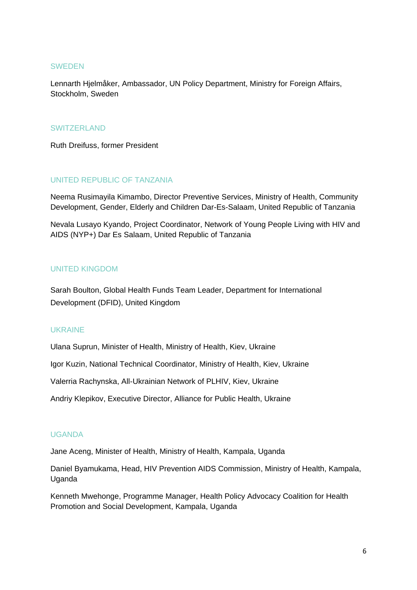#### SWEDEN

Lennarth Hjelmåker, Ambassador, UN Policy Department, Ministry for Foreign Affairs, Stockholm, Sweden

#### SWITZERLAND

Ruth Dreifuss, former President

# UNITED REPUBLIC OF TANZANIA

Neema Rusimayila Kimambo, Director Preventive Services, Ministry of Health, Community Development, Gender, Elderly and Children Dar-Es-Salaam, United Republic of Tanzania

Nevala Lusayo Kyando, Project Coordinator, Network of Young People Living with HIV and AIDS (NYP+) Dar Es Salaam, United Republic of Tanzania

# UNITED KINGDOM

Sarah Boulton, Global Health Funds Team Leader, Department for International Development (DFID), United Kingdom

## UKRAINE

Ulana Suprun, Minister of Health, Ministry of Health, Kiev, Ukraine

Igor Kuzin, National Technical Coordinator, Ministry of Health, Kiev, Ukraine

Valerria Rachynska, All-Ukrainian Network of PLHIV, Kiev, Ukraine

Andriy Klepikov, Executive Director, Alliance for Public Health, Ukraine

## UGANDA

Jane Aceng, Minister of Health, Ministry of Health, Kampala, Uganda

Daniel Byamukama, Head, HIV Prevention AIDS Commission, Ministry of Health, Kampala, Uganda

Kenneth Mwehonge, Programme Manager, Health Policy Advocacy Coalition for Health Promotion and Social Development, Kampala, Uganda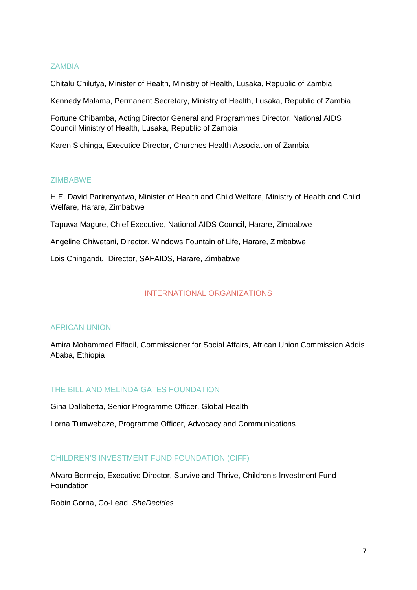## **ZAMBIA**

Chitalu Chilufya, Minister of Health, Ministry of Health, Lusaka, Republic of Zambia

Kennedy Malama, Permanent Secretary, Ministry of Health, Lusaka, Republic of Zambia

Fortune Chibamba, Acting Director General and Programmes Director, National AIDS Council Ministry of Health, Lusaka, Republic of Zambia

Karen Sichinga, Executice Director, Churches Health Association of Zambia

## ZIMBABWE

H.E. David Parirenyatwa, Minister of Health and Child Welfare, Ministry of Health and Child Welfare, Harare, Zimbabwe

Tapuwa Magure, Chief Executive, National AIDS Council, Harare, Zimbabwe

Angeline Chiwetani, Director, Windows Fountain of Life, Harare, Zimbabwe

Lois Chingandu, Director, SAFAIDS, Harare, Zimbabwe

## INTERNATIONAL ORGANIZATIONS

## AFRICAN UNION

Amira Mohammed Elfadil, Commissioner for Social Affairs, African Union Commission Addis Ababa, Ethiopia

## THE BILL AND MELINDA GATES FOUNDATION

Gina Dallabetta, Senior Programme Officer, Global Health

Lorna Tumwebaze, Programme Officer, Advocacy and Communications

## CHILDREN'S INVESTMENT FUND FOUNDATION (CIFF)

Alvaro Bermejo, Executive Director, Survive and Thrive, Children's Investment Fund Foundation

Robin Gorna, Co-Lead, *SheDecides*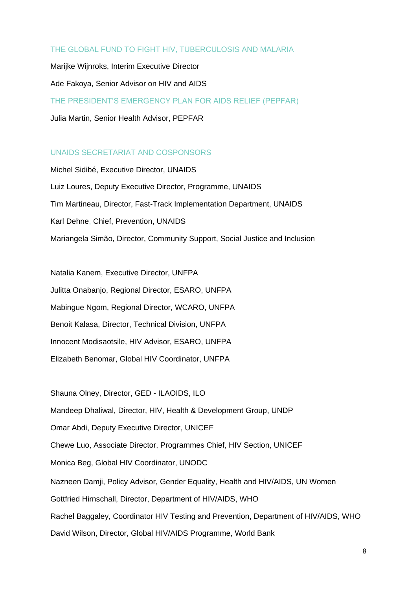# THE GLOBAL FUND TO FIGHT HIV, TUBERCULOSIS AND MALARIA

Marijke Wijnroks, Interim Executive Director Ade Fakoya, Senior Advisor on HIV and AIDS THE PRESIDENT'S EMERGENCY PLAN FOR AIDS RELIEF (PEPFAR) Julia Martin, Senior Health Advisor, PEPFAR

## UNAIDS SECRETARIAT AND COSPONSORS

Michel Sidibé, Executive Director, UNAIDS Luiz Loures, Deputy Executive Director, Programme, UNAIDS Tim Martineau, Director, Fast-Track Implementation Department, UNAIDS Karl Dehne, Chief, Prevention, UNAIDS Mariangela Simão, Director, Community Support, Social Justice and Inclusion

Natalia Kanem, Executive Director, UNFPA Julitta Onabanjo, Regional Director, ESARO, UNFPA Mabingue Ngom, Regional Director, WCARO, UNFPA Benoit Kalasa, Director, Technical Division, UNFPA Innocent Modisaotsile, HIV Advisor, ESARO, UNFPA Elizabeth Benomar, Global HIV Coordinator, UNFPA

Shauna Olney, Director, GED - ILAOIDS, ILO Mandeep Dhaliwal, Director, HIV, Health & Development Group, UNDP Omar Abdi, Deputy Executive Director, UNICEF Chewe Luo, Associate Director, Programmes Chief, HIV Section, UNICEF Monica Beg, Global HIV Coordinator, UNODC Nazneen Damji, Policy Advisor, Gender Equality, Health and HIV/AIDS, UN Women Gottfried Hirnschall, Director, Department of HIV/AIDS, WHO Rachel Baggaley, Coordinator HIV Testing and Prevention, Department of HIV/AIDS, WHO David Wilson, Director, Global HIV/AIDS Programme, World Bank